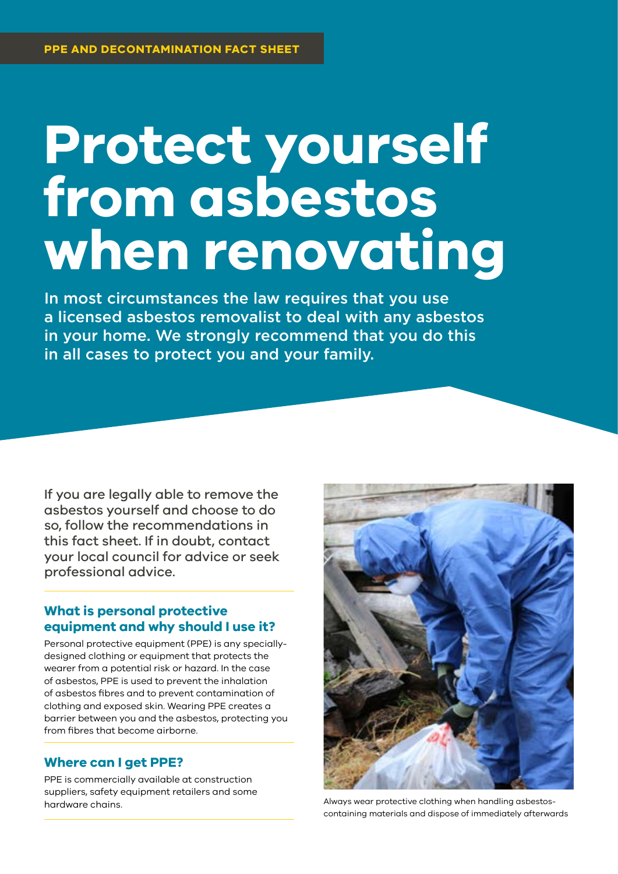# **Protect yourself from asbestos when renovating**

In most circumstances the law requires that you use a licensed asbestos removalist to deal with any asbestos in your home. We strongly recommend that you do this in all cases to protect you and your family.

If you are legally able to remove the asbestos yourself and choose to do so, follow the recommendations in this fact sheet. If in doubt, contact your local council for advice or seek professional advice.

## **What is personal protective equipment and why should I use it?**

Personal protective equipment (PPE) is any speciallydesigned clothing or equipment that protects the wearer from a potential risk or hazard. In the case of asbestos, PPE is used to prevent the inhalation of asbestos fibres and to prevent contamination of clothing and exposed skin. Wearing PPE creates a barrier between you and the asbestos, protecting you from fibres that become airborne.

## **Where can I get PPE?**

PPE is commercially available at construction suppliers, safety equipment retailers and some hardware chains.



Always wear protective clothing when handling asbestoscontaining materials and dispose of immediately afterwards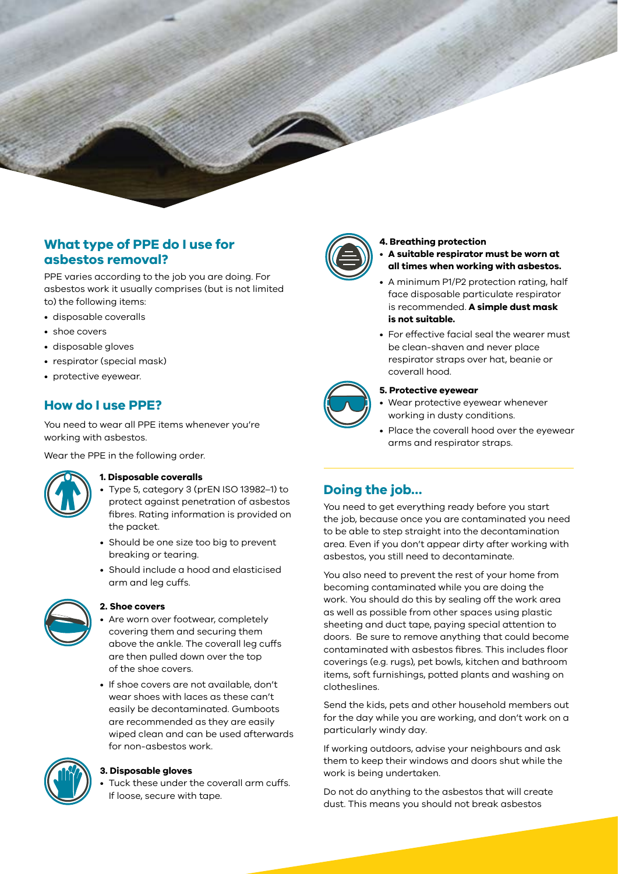## **What type of PPE do I use for asbestos removal?**

PPE varies according to the job you are doing. For asbestos work it usually comprises (but is not limited to) the following items:

- disposable coveralls
- shoe covers
- disposable gloves
- respirator (special mask)
- protective eyewear.

## **How do I use PPE?**

You need to wear all PPE items whenever you're working with asbestos.

Wear the PPE in the following order.



#### **1. Disposable coveralls**

- Type 5, category 3 (prEN ISO 13982–1) to protect against penetration of asbestos fibres. Rating information is provided on the packet.
- Should be one size too big to prevent breaking or tearing.
- Should include a hood and elasticised arm and leg cuffs.



### **2. Shoe covers**

Are worn over footwear, completely covering them and securing them above the ankle. The coverall leg cuffs are then pulled down over the top of the shoe covers.

• If shoe covers are not available, don't wear shoes with laces as these can't easily be decontaminated. Gumboots are recommended as they are easily wiped clean and can be used afterwards for non-asbestos work.



#### **3. Disposable gloves**

Tuck these under the coverall arm cuffs. If loose, secure with tape.



#### **4. Breathing protection**

- **A suitable respirator must be worn at all times when working with asbestos.**
- A minimum P1/P2 protection rating, half face disposable particulate respirator is recommended. **A simple dust mask is not suitable.**
- For effective facial seal the wearer must be clean-shaven and never place respirator straps over hat, beanie or coverall hood.



#### **5. Protective eyewear**

- Wear protective eyewear whenever working in dusty conditions.
- Place the coverall hood over the eyewear arms and respirator straps.

# **Doing the job…**

You need to get everything ready before you start the job, because once you are contaminated you need to be able to step straight into the decontamination area. Even if you don't appear dirty after working with asbestos, you still need to decontaminate.

You also need to prevent the rest of your home from becoming contaminated while you are doing the work. You should do this by sealing off the work area as well as possible from other spaces using plastic sheeting and duct tape, paying special attention to doors. Be sure to remove anything that could become contaminated with asbestos fibres. This includes floor coverings (e.g. rugs), pet bowls, kitchen and bathroom items, soft furnishings, potted plants and washing on clotheslines.

Send the kids, pets and other household members out for the day while you are working, and don't work on a particularly windy day.

If working outdoors, advise your neighbours and ask them to keep their windows and doors shut while the work is being undertaken.

Do not do anything to the asbestos that will create dust. This means you should not break asbestos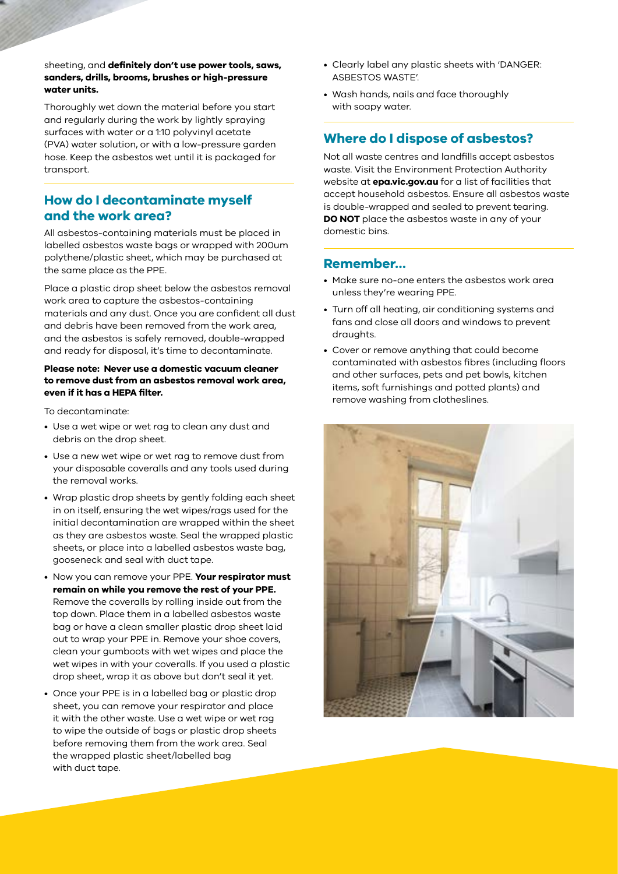#### sheeting, and **definitely don't use power tools, saws, sanders, drills, brooms, brushes or high-pressure water units.**

Thoroughly wet down the material before you start and regularly during the work by lightly spraying surfaces with water or a 1:10 polyvinyl acetate (PVA) water solution, or with a low-pressure garden hose. Keep the asbestos wet until it is packaged for transport.

## **How do I decontaminate myself and the work area?**

All asbestos-containing materials must be placed in labelled asbestos waste bags or wrapped with 200um polythene/plastic sheet, which may be purchased at the same place as the PPE.

Place a plastic drop sheet below the asbestos removal work area to capture the asbestos-containing materials and any dust. Once you are confident all dust and debris have been removed from the work area, and the asbestos is safely removed, double-wrapped and ready for disposal, it's time to decontaminate.

#### **Please note: Never use a domestic vacuum cleaner to remove dust from an asbestos removal work area, even if it has a HEPA filter.**

To decontaminate:

- Use a wet wipe or wet rag to clean any dust and debris on the drop sheet.
- Use a new wet wipe or wet rag to remove dust from your disposable coveralls and any tools used during the removal works.
- Wrap plastic drop sheets by gently folding each sheet in on itself, ensuring the wet wipes/rags used for the initial decontamination are wrapped within the sheet as they are asbestos waste. Seal the wrapped plastic sheets, or place into a labelled asbestos waste bag, gooseneck and seal with duct tape.
- Now you can remove your PPE. **Your respirator must remain on while you remove the rest of your PPE.** Remove the coveralls by rolling inside out from the top down. Place them in a labelled asbestos waste bag or have a clean smaller plastic drop sheet laid out to wrap your PPE in. Remove your shoe covers, clean your gumboots with wet wipes and place the wet wipes in with your coveralls. If you used a plastic drop sheet, wrap it as above but don't seal it yet.
- Once your PPE is in a labelled bag or plastic drop sheet, you can remove your respirator and place it with the other waste. Use a wet wipe or wet rag to wipe the outside of bags or plastic drop sheets before removing them from the work area. Seal the wrapped plastic sheet/labelled bag with duct tape.
- Clearly label any plastic sheets with 'DANGER: ASBESTOS WASTE'.
- Wash hands, nails and face thoroughly with soapy water.

# **Where do I dispose of asbestos?**

Not all waste centres and landfills accept asbestos waste. Visit the Environment Protection Authority website at **[epa.vic.gov.au](http://epa.vic.gov.au)** for a list of facilities that accept household asbestos. Ensure all asbestos waste is double-wrapped and sealed to prevent tearing. **DO NOT** place the asbestos waste in any of your domestic bins.

## **Remember…**

- Make sure no-one enters the asbestos work area unless they're wearing PPE.
- Turn off all heating, air conditioning systems and fans and close all doors and windows to prevent draughts.
- Cover or remove anything that could become contaminated with asbestos fibres (including floors and other surfaces, pets and pet bowls, kitchen items, soft furnishings and potted plants) and remove washing from clotheslines.